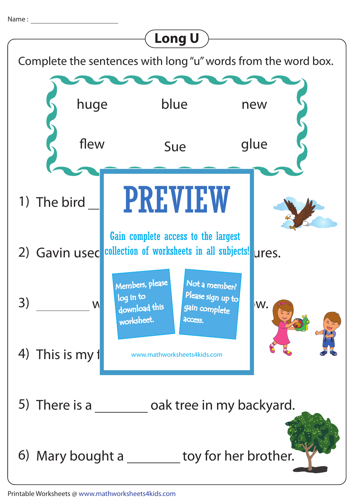